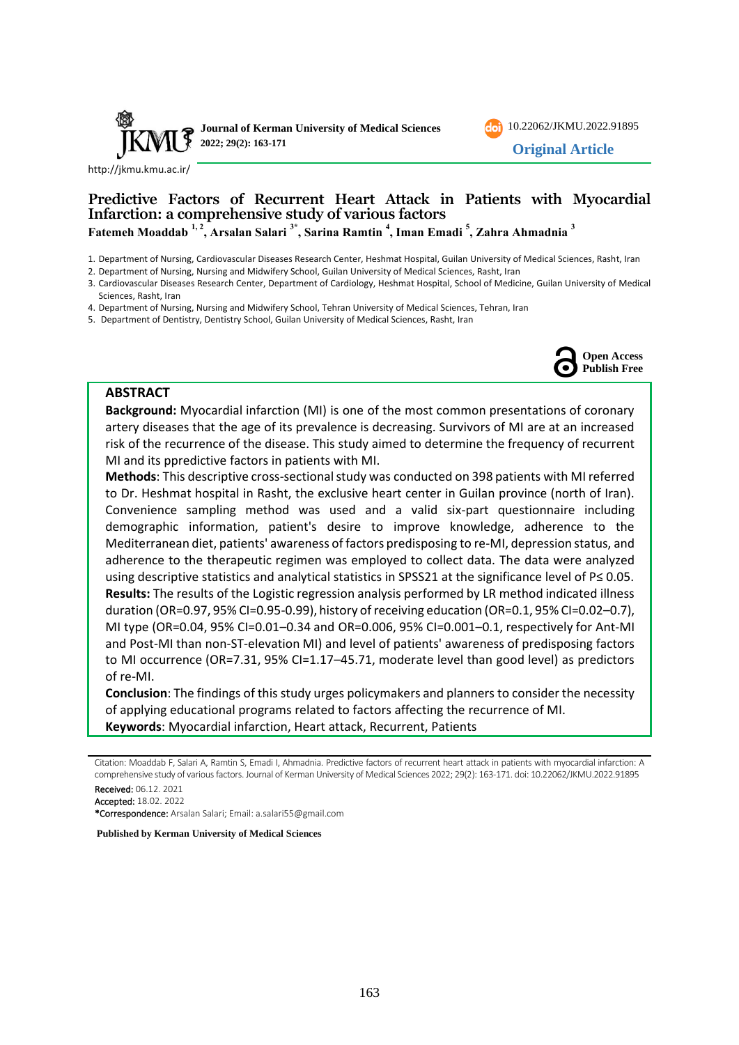



<http://jkmu.kmu.ac.ir/>

# **Predictive Factors of Recurrent Heart Attack in Patients with Myocardial Infarction: a comprehensive study of various factors Fatemeh Moaddab 1, 2, Arsalan Salari 3\*, Sarina Ramtin <sup>4</sup> , Iman Emadi <sup>5</sup> , Zahra Ahmadnia <sup>3</sup>**

1. Department of Nursing, Cardiovascular Diseases Research Center, Heshmat Hospital, Guilan University of Medical Sciences, Rasht, Iran

2. Department of Nursing, Nursing and Midwifery School, Guilan University of Medical Sciences, Rasht, Iran

3. Cardiovascular Diseases Research Center, Department of Cardiology, Heshmat Hospital, School of Medicine, Guilan University of Medical Sciences, Rasht, Iran

4. Department of Nursing, Nursing and Midwifery School, Tehran University of Medical Sciences, Tehran, Iran

5. Department of Dentistry, Dentistry School, Guilan University of Medical Sciences, Rasht, Iran



#### **ABSTRACT**

**Background:** Myocardial infarction (MI) is one of the most common presentations of coronary artery diseases that the age of its prevalence is decreasing. Survivors of MI are at an increased risk of the recurrence of the disease. This study aimed to determine the frequency of recurrent MI and its ppredictive factors in patients with MI.

**Methods**: This descriptive cross-sectional study was conducted on 398 patients with MI referred to Dr. Heshmat hospital in Rasht, the exclusive heart center in Guilan province (north of Iran). Convenience sampling method was used and a valid six-part questionnaire including demographic information, patient's desire to improve knowledge, adherence to the Mediterranean diet, patients' awareness of factors predisposing to re-MI, depression status, and adherence to the therapeutic regimen was employed to collect data. The data were analyzed using descriptive statistics and analytical statistics in SPSS21 at the significance level of P≤ 0.05. **Results:** The results of the Logistic regression analysis performed by LR method indicated illness duration (OR=0.97, 95% CI=0.95-0.99), history of receiving education (OR=0.1, 95% CI=0.02–0.7), MI type (OR=0.04, 95% CI=0.01–0.34 and OR=0.006, 95% CI=0.001–0.1, respectively for Ant-MI and Post-MI than non-ST-elevation MI) and level of patients' awareness of predisposing factors to MI occurrence (OR=7.31, 95% CI=1.17-45.71, moderate level than good level) as predictors of re-MI.

**Conclusion**: The findings of this study urges policymakers and planners to consider the necessity of applying educational programs related to factors affecting the recurrence of MI. **Keywords**: Myocardial infarction, Heart attack, Recurrent, Patients

Citation: Moaddab F, Salari A, Ramtin S, Emadi I, Ahmadnia. Predictive factors of recurrent heart attack in patients with myocardial infarction: A comprehensive study of various factors. Journal of Kerman University of Medical Sciences 2022; 29(2): 163-171. doi: [10.22062/JKMU.2022.91895](https://dx.doi.org/10.22062/jkmu.2022.91895) Received: 06.12. 2021

Accepted: 18.02. 2022

\*Correspondence: Arsalan Salari; Email: a.salari55@gmail.com

**Published by Kerman University of Medical Sciences**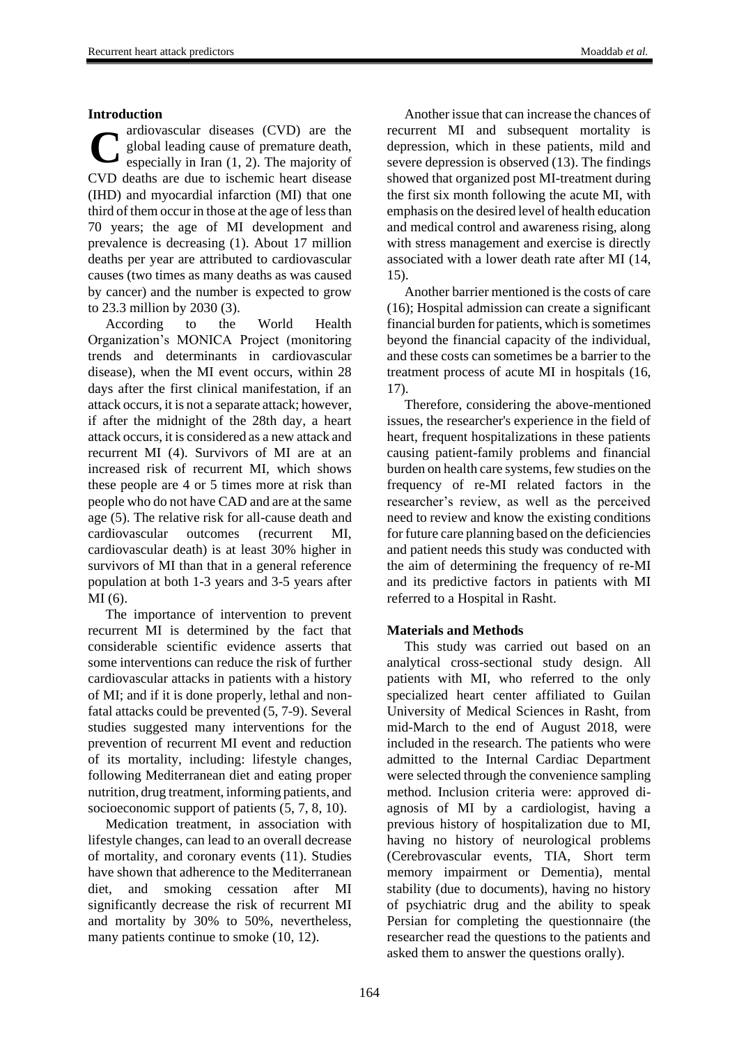## **Introduction**

ardiovascular diseases (CVD) are the global leading cause of premature death, especially in Iran (1, 2). The majority of CVD deaths are due to ischemic heart disease (IHD) and myocardial infarction (MI) that one third of them occur in those at the age of less than 70 years; the age of MI development and prevalence is decreasing (1). About 17 million deaths per year are attributed to cardiovascular causes (two times as many deaths as was caused by cancer) and the number is expected to grow to 23.3 million by 2030 (3). **C**

According to the World Health Organization's MONICA Project (monitoring trends and determinants in cardiovascular disease), when the MI event occurs, within 28 days after the first clinical manifestation, if an attack occurs, it is not a separate attack; however, if after the midnight of the 28th day, a heart attack occurs, it is considered as a new attack and recurrent MI (4). Survivors of MI are at an increased risk of recurrent MI, which shows these people are 4 or 5 times more at risk than people who do not have CAD and are at the same age (5). The relative risk for all-cause death and cardiovascular outcomes (recurrent MI, cardiovascular death) is at least 30% higher in survivors of MI than that in a general reference population at both 1-3 years and 3-5 years after MI (6).

The importance of intervention to prevent recurrent MI is determined by the fact that considerable scientific evidence asserts that some interventions can reduce the risk of further cardiovascular attacks in patients with a history of MI; and if it is done properly, lethal and nonfatal attacks could be prevented (5, 7-9). Several studies suggested many interventions for the prevention of recurrent MI event and reduction of its mortality, including: lifestyle changes, following Mediterranean diet and eating proper nutrition, drug treatment, informing patients, and socioeconomic support of patients (5, 7, 8, 10).

Medication treatment, in association with lifestyle changes, can lead to an overall decrease of mortality, and coronary events (11). Studies have shown that adherence to the Mediterranean diet, and smoking cessation after MI significantly decrease the risk of recurrent MI and mortality by 30% to 50%, nevertheless, many patients continue to smoke (10, 12).

Another issue that can increase the chances of recurrent MI and subsequent mortality is depression, which in these patients, mild and severe depression is observed (13). The findings showed that organized post MI-treatment during the first six month following the acute MI, with emphasis on the desired level of health education and medical control and awareness rising, along with stress management and exercise is directly associated with a lower death rate after MI (14, 15).

Another barrier mentioned is the costs of care (16); Hospital admission can create a significant financial burden for patients, which is sometimes beyond the financial capacity of the individual, and these costs can sometimes be a barrier to the treatment process of acute MI in hospitals (16, 17).

Therefore, considering the above-mentioned issues, the researcher's experience in the field of heart, frequent hospitalizations in these patients causing patient-family problems and financial burden on health care systems, few studies on the frequency of re-MI related factors in the researcher's review, as well as the perceived need to review and know the existing conditions for future care planning based on the deficiencies and patient needs this study was conducted with the aim of determining the frequency of re-MI and its predictive factors in patients with MI referred to a Hospital in Rasht.

# **Materials and Methods**

This study was carried out based on an analytical cross-sectional study design. All patients with MI, who referred to the only specialized heart center affiliated to Guilan University of Medical Sciences in Rasht, from mid-March to the end of August 2018, were included in the research. The patients who were admitted to the Internal Cardiac Department were selected through the convenience sampling method. Inclusion criteria were: approved diagnosis of MI by a cardiologist, having a previous history of hospitalization due to MI, having no history of neurological problems (Cerebrovascular events, TIA, Short term memory impairment or Dementia), mental stability (due to documents), having no history of psychiatric drug and the ability to speak Persian for completing the questionnaire (the researcher read the questions to the patients and asked them to answer the questions orally).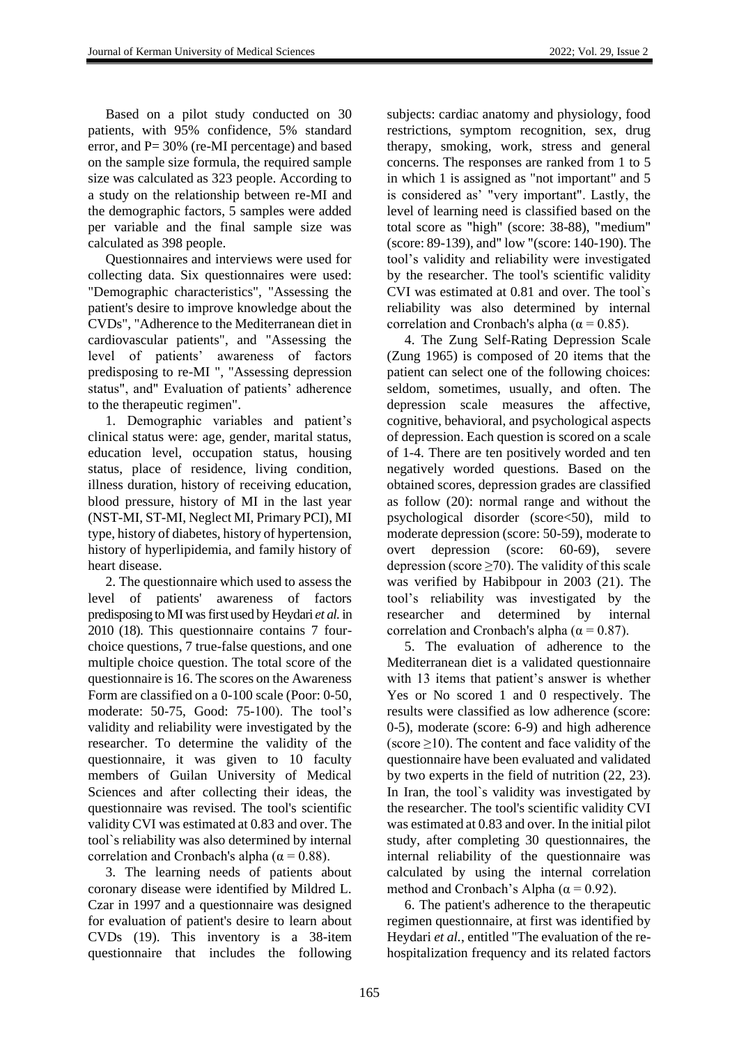Based on a pilot study conducted on 30 patients, with 95% confidence, 5% standard error, and P= 30% (re-MI percentage) and based on the sample size formula, the required sample size was calculated as 323 people. According to a study on the relationship between re-MI and the demographic factors, 5 samples were added per variable and the final sample size was calculated as 398 people.

Questionnaires and interviews were used for collecting data. Six questionnaires were used: "Demographic characteristics", "Assessing the patient's desire to improve knowledge about the CVDs", "Adherence to the Mediterranean diet in cardiovascular patients", and "Assessing the level of patients' awareness of factors predisposing to re-MI ", "Assessing depression status", and" Evaluation of patients' adherence to the therapeutic regimen".

1. Demographic variables and patient's clinical status were: age, gender, marital status, education level, occupation status, housing status, place of residence, living condition, illness duration, history of receiving education, blood pressure, history of MI in the last year (NST-MI, ST-MI, Neglect MI, Primary PCI), MI type, history of diabetes, history of hypertension, history of hyperlipidemia, and family history of heart disease.

2. The questionnaire which used to assess the level of patients' awareness of factors predisposing to MI was first used by Heydari *et al.* in 2010 (18). This questionnaire contains 7 fourchoice questions, 7 true-false questions, and one multiple choice question. The total score of the questionnaire is 16. The scores on the Awareness Form are classified on a 0-100 scale (Poor: 0-50, moderate: 50-75, Good: 75-100). The tool's validity and reliability were investigated by the researcher. To determine the validity of the questionnaire, it was given to 10 faculty members of Guilan University of Medical Sciences and after collecting their ideas, the questionnaire was revised. The tool's scientific validity CVI was estimated at 0.83 and over. The tool`s reliability was also determined by internal correlation and Cronbach's alpha ( $\alpha$  = 0.88).

3. The learning needs of patients about coronary disease were identified by Mildred L. Czar in 1997 and a questionnaire was designed for evaluation of patient's desire to learn about CVDs (19). This inventory is a 38-item questionnaire that includes the following

subjects: cardiac anatomy and physiology, food restrictions, symptom recognition, sex, drug therapy, smoking, work, stress and general concerns. The responses are ranked from 1 to 5 in which 1 is assigned as "not important" and 5 is considered as' "very important". Lastly, the level of learning need is classified based on the total score as "high" (score: 38-88), "medium" (score: 89-139), and" low "(score: 140-190). The tool's validity and reliability were investigated by the researcher. The tool's scientific validity CVI was estimated at 0.81 and over. The tool`s reliability was also determined by internal correlation and Cronbach's alpha ( $\alpha$  = 0.85).

4. The Zung Self-Rating Depression Scale (Zung 1965) is composed of 20 items that the patient can select one of the following choices: seldom, sometimes, usually, and often. The depression scale measures the affective, cognitive, behavioral, and psychological aspects of depression. Each question is scored on a scale of 1-4. There are ten positively worded and ten negatively worded questions. Based on the obtained scores, depression grades are classified as follow (20): normal range and without the psychological disorder (score<50), mild to moderate depression (score: 50-59), moderate to overt depression (score: 60-69), severe depression (score  $\geq$ 70). The validity of this scale was verified by Habibpour in 2003 (21). The tool's reliability was investigated by the researcher and determined by internal correlation and Cronbach's alpha ( $\alpha$  = 0.87).

5. The evaluation of adherence to the Mediterranean diet is a validated questionnaire with 13 items that patient's answer is whether Yes or No scored 1 and 0 respectively. The results were classified as low adherence (score: 0-5), moderate (score: 6-9) and high adherence (score  $\geq$ 10). The content and face validity of the questionnaire have been evaluated and validated by two experts in the field of nutrition (22, 23). In Iran, the tool`s validity was investigated by the researcher. The tool's scientific validity CVI was estimated at 0.83 and over. In the initial pilot study, after completing 30 questionnaires, the internal reliability of the questionnaire was calculated by using the internal correlation method and Cronbach's Alpha ( $\alpha$  = 0.92).

6. The patient's adherence to the therapeutic regimen questionnaire, at first was identified by Heydari *et al.*, entitled "The evaluation of the rehospitalization frequency and its related factors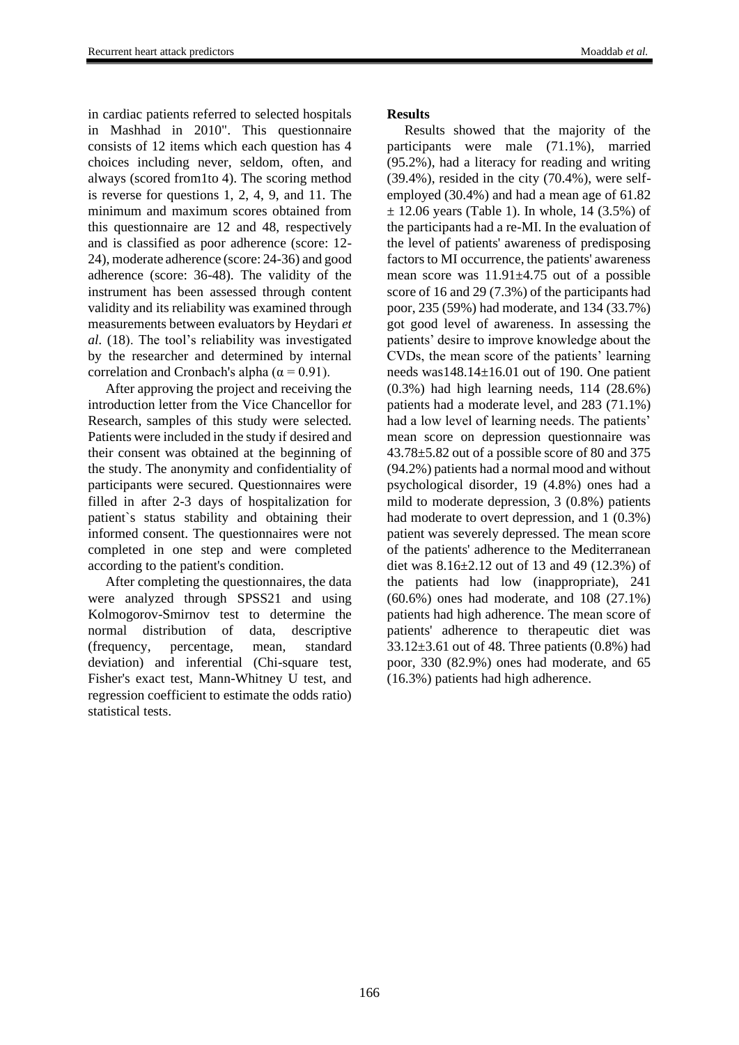in cardiac patients referred to selected hospitals in Mashhad in 2010". This questionnaire consists of 12 items which each question has 4 choices including never, seldom, often, and always (scored from1to 4). The scoring method is reverse for questions 1, 2, 4, 9, and 11. The minimum and maximum scores obtained from this questionnaire are 12 and 48, respectively and is classified as poor adherence (score: 12- 24), moderate adherence (score: 24-36) and good adherence (score: 36-48). The validity of the instrument has been assessed through content validity and its reliability was examined through measurements between evaluators by Heydari *et al.* (18). The tool's reliability was investigated by the researcher and determined by internal correlation and Cronbach's alpha ( $\alpha$  = 0.91).

After approving the project and receiving the introduction letter from the Vice Chancellor for Research, samples of this study were selected. Patients were included in the study if desired and their consent was obtained at the beginning of the study. The anonymity and confidentiality of participants were secured. Questionnaires were filled in after 2-3 days of hospitalization for patient`s status stability and obtaining their informed consent. The questionnaires were not completed in one step and were completed according to the patient's condition.

After completing the questionnaires, the data were analyzed through SPSS21 and using Kolmogorov-Smirnov test to determine the normal distribution of data, descriptive (frequency, percentage, mean, standard deviation) and inferential (Chi-square test, Fisher's exact test, Mann-Whitney U test, and regression coefficient to estimate the odds ratio) statistical tests.

#### **Results**

Results showed that the majority of the participants were male (71.1%), married (95.2%), had a literacy for reading and writing (39.4%), resided in the city (70.4%), were selfemployed (30.4%) and had a mean age of 61.82  $\pm$  12.06 years (Table 1). In whole, 14 (3.5%) of the participants had a re-MI. In the evaluation of the level of patients' awareness of predisposing factors to MI occurrence, the patients' awareness mean score was 11.91±4.75 out of a possible score of 16 and 29 (7.3%) of the participants had poor, 235 (59%) had moderate, and 134 (33.7%) got good level of awareness. In assessing the patients' desire to improve knowledge about the CVDs, the mean score of the patients' learning needs was148.14±16.01 out of 190. One patient (0.3%) had high learning needs, 114 (28.6%) patients had a moderate level, and 283 (71.1%) had a low level of learning needs. The patients' mean score on depression questionnaire was 43.78±5.82 out of a possible score of 80 and 375 (94.2%) patients had a normal mood and without psychological disorder, 19 (4.8%) ones had a mild to moderate depression, 3 (0.8%) patients had moderate to overt depression, and 1 (0.3%) patient was severely depressed. The mean score of the patients' adherence to the Mediterranean diet was 8.16±2.12 out of 13 and 49 (12.3%) of the patients had low (inappropriate), 241 (60.6%) ones had moderate, and 108 (27.1%) patients had high adherence. The mean score of patients' adherence to therapeutic diet was  $33.12\pm3.61$  out of 48. Three patients  $(0.8\%)$  had poor, 330 (82.9%) ones had moderate, and 65 (16.3%) patients had high adherence.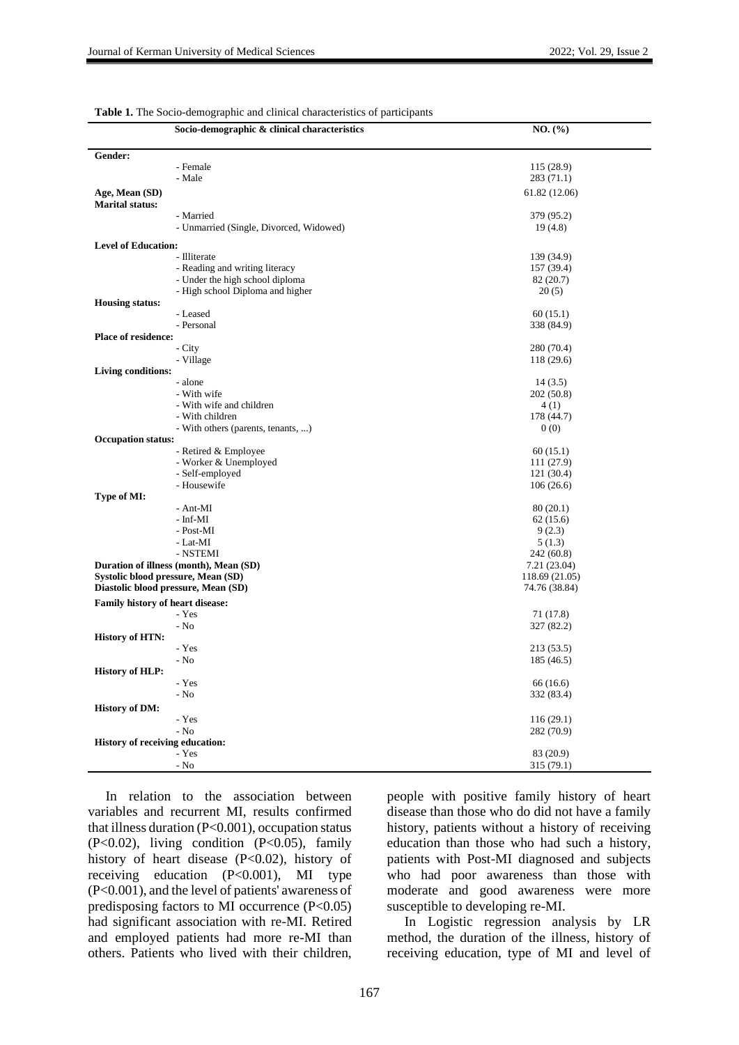| Gender:<br>- Female<br>115 (28.9)<br>- Male<br>283 (71.1)<br>Age, Mean (SD)<br>61.82 (12.06)<br><b>Marital status:</b><br>- Married<br>379 (95.2)<br>- Unmarried (Single, Divorced, Widowed)<br>19(4.8)<br><b>Level of Education:</b><br>- Illiterate<br>139 (34.9)<br>- Reading and writing literacy<br>157 (39.4)<br>- Under the high school diploma<br>82 (20.7)<br>- High school Diploma and higher<br>20(5)<br><b>Housing status:</b><br>- Leased<br>60(15.1)<br>- Personal<br>338 (84.9)<br><b>Place of residence:</b><br>- City<br>280 (70.4)<br>- Village<br>118(29.6)<br><b>Living conditions:</b><br>- alone<br>14(3.5)<br>- With wife<br>202 (50.8)<br>- With wife and children<br>4(1)<br>- With children<br>178 (44.7)<br>- With others (parents, tenants, )<br>0(0)<br><b>Occupation status:</b><br>- Retired & Employee<br>60(15.1)<br>- Worker & Unemployed<br>111 (27.9)<br>- Self-employed<br>121(30.4)<br>- Housewife<br>106(26.6)<br>Type of MI:<br>- Ant-MI<br>80(20.1)<br>- Inf-MI<br>62(15.6)<br>- Post-MI<br>9(2.3)<br>- Lat-MI<br>5(1.3)<br>- NSTEMI<br>242 (60.8)<br>Duration of illness (month), Mean (SD)<br>7.21 (23.04)<br>Systolic blood pressure, Mean (SD)<br>118.69 (21.05)<br>Diastolic blood pressure, Mean (SD)<br>74.76 (38.84)<br><b>Family history of heart disease:</b><br>- Yes<br>71 (17.8)<br>- No<br>327 (82.2)<br><b>History of HTN:</b><br>- Yes<br>213 (53.5)<br>$-$ No<br>185 (46.5)<br><b>History of HLP:</b><br>- Yes<br>66(16.6)<br>- No<br>332 (83.4)<br><b>History of DM:</b><br>- Yes<br>116(29.1)<br>$-$ No<br>282 (70.9)<br><b>History of receiving education:</b><br>- Yes<br>83 (20.9)<br>- No<br>315 (79.1) | Socio-demographic & clinical characteristics | NO. (%) |
|-------------------------------------------------------------------------------------------------------------------------------------------------------------------------------------------------------------------------------------------------------------------------------------------------------------------------------------------------------------------------------------------------------------------------------------------------------------------------------------------------------------------------------------------------------------------------------------------------------------------------------------------------------------------------------------------------------------------------------------------------------------------------------------------------------------------------------------------------------------------------------------------------------------------------------------------------------------------------------------------------------------------------------------------------------------------------------------------------------------------------------------------------------------------------------------------------------------------------------------------------------------------------------------------------------------------------------------------------------------------------------------------------------------------------------------------------------------------------------------------------------------------------------------------------------------------------------------------------------------------------------------------------------------------------|----------------------------------------------|---------|
|                                                                                                                                                                                                                                                                                                                                                                                                                                                                                                                                                                                                                                                                                                                                                                                                                                                                                                                                                                                                                                                                                                                                                                                                                                                                                                                                                                                                                                                                                                                                                                                                                                                                         |                                              |         |
|                                                                                                                                                                                                                                                                                                                                                                                                                                                                                                                                                                                                                                                                                                                                                                                                                                                                                                                                                                                                                                                                                                                                                                                                                                                                                                                                                                                                                                                                                                                                                                                                                                                                         |                                              |         |
|                                                                                                                                                                                                                                                                                                                                                                                                                                                                                                                                                                                                                                                                                                                                                                                                                                                                                                                                                                                                                                                                                                                                                                                                                                                                                                                                                                                                                                                                                                                                                                                                                                                                         |                                              |         |
|                                                                                                                                                                                                                                                                                                                                                                                                                                                                                                                                                                                                                                                                                                                                                                                                                                                                                                                                                                                                                                                                                                                                                                                                                                                                                                                                                                                                                                                                                                                                                                                                                                                                         |                                              |         |
|                                                                                                                                                                                                                                                                                                                                                                                                                                                                                                                                                                                                                                                                                                                                                                                                                                                                                                                                                                                                                                                                                                                                                                                                                                                                                                                                                                                                                                                                                                                                                                                                                                                                         |                                              |         |
|                                                                                                                                                                                                                                                                                                                                                                                                                                                                                                                                                                                                                                                                                                                                                                                                                                                                                                                                                                                                                                                                                                                                                                                                                                                                                                                                                                                                                                                                                                                                                                                                                                                                         |                                              |         |
|                                                                                                                                                                                                                                                                                                                                                                                                                                                                                                                                                                                                                                                                                                                                                                                                                                                                                                                                                                                                                                                                                                                                                                                                                                                                                                                                                                                                                                                                                                                                                                                                                                                                         |                                              |         |
|                                                                                                                                                                                                                                                                                                                                                                                                                                                                                                                                                                                                                                                                                                                                                                                                                                                                                                                                                                                                                                                                                                                                                                                                                                                                                                                                                                                                                                                                                                                                                                                                                                                                         |                                              |         |
|                                                                                                                                                                                                                                                                                                                                                                                                                                                                                                                                                                                                                                                                                                                                                                                                                                                                                                                                                                                                                                                                                                                                                                                                                                                                                                                                                                                                                                                                                                                                                                                                                                                                         |                                              |         |
|                                                                                                                                                                                                                                                                                                                                                                                                                                                                                                                                                                                                                                                                                                                                                                                                                                                                                                                                                                                                                                                                                                                                                                                                                                                                                                                                                                                                                                                                                                                                                                                                                                                                         |                                              |         |
|                                                                                                                                                                                                                                                                                                                                                                                                                                                                                                                                                                                                                                                                                                                                                                                                                                                                                                                                                                                                                                                                                                                                                                                                                                                                                                                                                                                                                                                                                                                                                                                                                                                                         |                                              |         |
|                                                                                                                                                                                                                                                                                                                                                                                                                                                                                                                                                                                                                                                                                                                                                                                                                                                                                                                                                                                                                                                                                                                                                                                                                                                                                                                                                                                                                                                                                                                                                                                                                                                                         |                                              |         |
|                                                                                                                                                                                                                                                                                                                                                                                                                                                                                                                                                                                                                                                                                                                                                                                                                                                                                                                                                                                                                                                                                                                                                                                                                                                                                                                                                                                                                                                                                                                                                                                                                                                                         |                                              |         |
|                                                                                                                                                                                                                                                                                                                                                                                                                                                                                                                                                                                                                                                                                                                                                                                                                                                                                                                                                                                                                                                                                                                                                                                                                                                                                                                                                                                                                                                                                                                                                                                                                                                                         |                                              |         |
|                                                                                                                                                                                                                                                                                                                                                                                                                                                                                                                                                                                                                                                                                                                                                                                                                                                                                                                                                                                                                                                                                                                                                                                                                                                                                                                                                                                                                                                                                                                                                                                                                                                                         |                                              |         |
|                                                                                                                                                                                                                                                                                                                                                                                                                                                                                                                                                                                                                                                                                                                                                                                                                                                                                                                                                                                                                                                                                                                                                                                                                                                                                                                                                                                                                                                                                                                                                                                                                                                                         |                                              |         |
|                                                                                                                                                                                                                                                                                                                                                                                                                                                                                                                                                                                                                                                                                                                                                                                                                                                                                                                                                                                                                                                                                                                                                                                                                                                                                                                                                                                                                                                                                                                                                                                                                                                                         |                                              |         |
|                                                                                                                                                                                                                                                                                                                                                                                                                                                                                                                                                                                                                                                                                                                                                                                                                                                                                                                                                                                                                                                                                                                                                                                                                                                                                                                                                                                                                                                                                                                                                                                                                                                                         |                                              |         |
|                                                                                                                                                                                                                                                                                                                                                                                                                                                                                                                                                                                                                                                                                                                                                                                                                                                                                                                                                                                                                                                                                                                                                                                                                                                                                                                                                                                                                                                                                                                                                                                                                                                                         |                                              |         |
|                                                                                                                                                                                                                                                                                                                                                                                                                                                                                                                                                                                                                                                                                                                                                                                                                                                                                                                                                                                                                                                                                                                                                                                                                                                                                                                                                                                                                                                                                                                                                                                                                                                                         |                                              |         |
|                                                                                                                                                                                                                                                                                                                                                                                                                                                                                                                                                                                                                                                                                                                                                                                                                                                                                                                                                                                                                                                                                                                                                                                                                                                                                                                                                                                                                                                                                                                                                                                                                                                                         |                                              |         |
|                                                                                                                                                                                                                                                                                                                                                                                                                                                                                                                                                                                                                                                                                                                                                                                                                                                                                                                                                                                                                                                                                                                                                                                                                                                                                                                                                                                                                                                                                                                                                                                                                                                                         |                                              |         |
|                                                                                                                                                                                                                                                                                                                                                                                                                                                                                                                                                                                                                                                                                                                                                                                                                                                                                                                                                                                                                                                                                                                                                                                                                                                                                                                                                                                                                                                                                                                                                                                                                                                                         |                                              |         |
|                                                                                                                                                                                                                                                                                                                                                                                                                                                                                                                                                                                                                                                                                                                                                                                                                                                                                                                                                                                                                                                                                                                                                                                                                                                                                                                                                                                                                                                                                                                                                                                                                                                                         |                                              |         |
|                                                                                                                                                                                                                                                                                                                                                                                                                                                                                                                                                                                                                                                                                                                                                                                                                                                                                                                                                                                                                                                                                                                                                                                                                                                                                                                                                                                                                                                                                                                                                                                                                                                                         |                                              |         |
|                                                                                                                                                                                                                                                                                                                                                                                                                                                                                                                                                                                                                                                                                                                                                                                                                                                                                                                                                                                                                                                                                                                                                                                                                                                                                                                                                                                                                                                                                                                                                                                                                                                                         |                                              |         |
|                                                                                                                                                                                                                                                                                                                                                                                                                                                                                                                                                                                                                                                                                                                                                                                                                                                                                                                                                                                                                                                                                                                                                                                                                                                                                                                                                                                                                                                                                                                                                                                                                                                                         |                                              |         |
|                                                                                                                                                                                                                                                                                                                                                                                                                                                                                                                                                                                                                                                                                                                                                                                                                                                                                                                                                                                                                                                                                                                                                                                                                                                                                                                                                                                                                                                                                                                                                                                                                                                                         |                                              |         |
|                                                                                                                                                                                                                                                                                                                                                                                                                                                                                                                                                                                                                                                                                                                                                                                                                                                                                                                                                                                                                                                                                                                                                                                                                                                                                                                                                                                                                                                                                                                                                                                                                                                                         |                                              |         |
|                                                                                                                                                                                                                                                                                                                                                                                                                                                                                                                                                                                                                                                                                                                                                                                                                                                                                                                                                                                                                                                                                                                                                                                                                                                                                                                                                                                                                                                                                                                                                                                                                                                                         |                                              |         |
|                                                                                                                                                                                                                                                                                                                                                                                                                                                                                                                                                                                                                                                                                                                                                                                                                                                                                                                                                                                                                                                                                                                                                                                                                                                                                                                                                                                                                                                                                                                                                                                                                                                                         |                                              |         |
|                                                                                                                                                                                                                                                                                                                                                                                                                                                                                                                                                                                                                                                                                                                                                                                                                                                                                                                                                                                                                                                                                                                                                                                                                                                                                                                                                                                                                                                                                                                                                                                                                                                                         |                                              |         |
|                                                                                                                                                                                                                                                                                                                                                                                                                                                                                                                                                                                                                                                                                                                                                                                                                                                                                                                                                                                                                                                                                                                                                                                                                                                                                                                                                                                                                                                                                                                                                                                                                                                                         |                                              |         |
|                                                                                                                                                                                                                                                                                                                                                                                                                                                                                                                                                                                                                                                                                                                                                                                                                                                                                                                                                                                                                                                                                                                                                                                                                                                                                                                                                                                                                                                                                                                                                                                                                                                                         |                                              |         |
|                                                                                                                                                                                                                                                                                                                                                                                                                                                                                                                                                                                                                                                                                                                                                                                                                                                                                                                                                                                                                                                                                                                                                                                                                                                                                                                                                                                                                                                                                                                                                                                                                                                                         |                                              |         |
|                                                                                                                                                                                                                                                                                                                                                                                                                                                                                                                                                                                                                                                                                                                                                                                                                                                                                                                                                                                                                                                                                                                                                                                                                                                                                                                                                                                                                                                                                                                                                                                                                                                                         |                                              |         |
|                                                                                                                                                                                                                                                                                                                                                                                                                                                                                                                                                                                                                                                                                                                                                                                                                                                                                                                                                                                                                                                                                                                                                                                                                                                                                                                                                                                                                                                                                                                                                                                                                                                                         |                                              |         |
|                                                                                                                                                                                                                                                                                                                                                                                                                                                                                                                                                                                                                                                                                                                                                                                                                                                                                                                                                                                                                                                                                                                                                                                                                                                                                                                                                                                                                                                                                                                                                                                                                                                                         |                                              |         |
|                                                                                                                                                                                                                                                                                                                                                                                                                                                                                                                                                                                                                                                                                                                                                                                                                                                                                                                                                                                                                                                                                                                                                                                                                                                                                                                                                                                                                                                                                                                                                                                                                                                                         |                                              |         |
|                                                                                                                                                                                                                                                                                                                                                                                                                                                                                                                                                                                                                                                                                                                                                                                                                                                                                                                                                                                                                                                                                                                                                                                                                                                                                                                                                                                                                                                                                                                                                                                                                                                                         |                                              |         |
|                                                                                                                                                                                                                                                                                                                                                                                                                                                                                                                                                                                                                                                                                                                                                                                                                                                                                                                                                                                                                                                                                                                                                                                                                                                                                                                                                                                                                                                                                                                                                                                                                                                                         |                                              |         |
|                                                                                                                                                                                                                                                                                                                                                                                                                                                                                                                                                                                                                                                                                                                                                                                                                                                                                                                                                                                                                                                                                                                                                                                                                                                                                                                                                                                                                                                                                                                                                                                                                                                                         |                                              |         |
|                                                                                                                                                                                                                                                                                                                                                                                                                                                                                                                                                                                                                                                                                                                                                                                                                                                                                                                                                                                                                                                                                                                                                                                                                                                                                                                                                                                                                                                                                                                                                                                                                                                                         |                                              |         |
|                                                                                                                                                                                                                                                                                                                                                                                                                                                                                                                                                                                                                                                                                                                                                                                                                                                                                                                                                                                                                                                                                                                                                                                                                                                                                                                                                                                                                                                                                                                                                                                                                                                                         |                                              |         |
|                                                                                                                                                                                                                                                                                                                                                                                                                                                                                                                                                                                                                                                                                                                                                                                                                                                                                                                                                                                                                                                                                                                                                                                                                                                                                                                                                                                                                                                                                                                                                                                                                                                                         |                                              |         |
|                                                                                                                                                                                                                                                                                                                                                                                                                                                                                                                                                                                                                                                                                                                                                                                                                                                                                                                                                                                                                                                                                                                                                                                                                                                                                                                                                                                                                                                                                                                                                                                                                                                                         |                                              |         |
|                                                                                                                                                                                                                                                                                                                                                                                                                                                                                                                                                                                                                                                                                                                                                                                                                                                                                                                                                                                                                                                                                                                                                                                                                                                                                                                                                                                                                                                                                                                                                                                                                                                                         |                                              |         |
|                                                                                                                                                                                                                                                                                                                                                                                                                                                                                                                                                                                                                                                                                                                                                                                                                                                                                                                                                                                                                                                                                                                                                                                                                                                                                                                                                                                                                                                                                                                                                                                                                                                                         |                                              |         |
|                                                                                                                                                                                                                                                                                                                                                                                                                                                                                                                                                                                                                                                                                                                                                                                                                                                                                                                                                                                                                                                                                                                                                                                                                                                                                                                                                                                                                                                                                                                                                                                                                                                                         |                                              |         |
|                                                                                                                                                                                                                                                                                                                                                                                                                                                                                                                                                                                                                                                                                                                                                                                                                                                                                                                                                                                                                                                                                                                                                                                                                                                                                                                                                                                                                                                                                                                                                                                                                                                                         |                                              |         |
|                                                                                                                                                                                                                                                                                                                                                                                                                                                                                                                                                                                                                                                                                                                                                                                                                                                                                                                                                                                                                                                                                                                                                                                                                                                                                                                                                                                                                                                                                                                                                                                                                                                                         |                                              |         |
|                                                                                                                                                                                                                                                                                                                                                                                                                                                                                                                                                                                                                                                                                                                                                                                                                                                                                                                                                                                                                                                                                                                                                                                                                                                                                                                                                                                                                                                                                                                                                                                                                                                                         |                                              |         |
|                                                                                                                                                                                                                                                                                                                                                                                                                                                                                                                                                                                                                                                                                                                                                                                                                                                                                                                                                                                                                                                                                                                                                                                                                                                                                                                                                                                                                                                                                                                                                                                                                                                                         |                                              |         |

**Table 1.** The Socio-demographic and clinical characteristics of participants

In relation to the association between variables and recurrent MI, results confirmed that illness duration (P<0.001), occupation status (P<0.02), living condition (P<0.05), family history of heart disease (P<0.02), history of receiving education (P<0.001), MI type (P<0.001), and the level of patients' awareness of predisposing factors to MI occurrence (P<0.05) had significant association with re-MI. Retired and employed patients had more re-MI than others. Patients who lived with their children,

people with positive family history of heart disease than those who do did not have a family history, patients without a history of receiving education than those who had such a history, patients with Post-MI diagnosed and subjects who had poor awareness than those with moderate and good awareness were more susceptible to developing re-MI.

In Logistic regression analysis by LR method, the duration of the illness, history of receiving education, type of MI and level of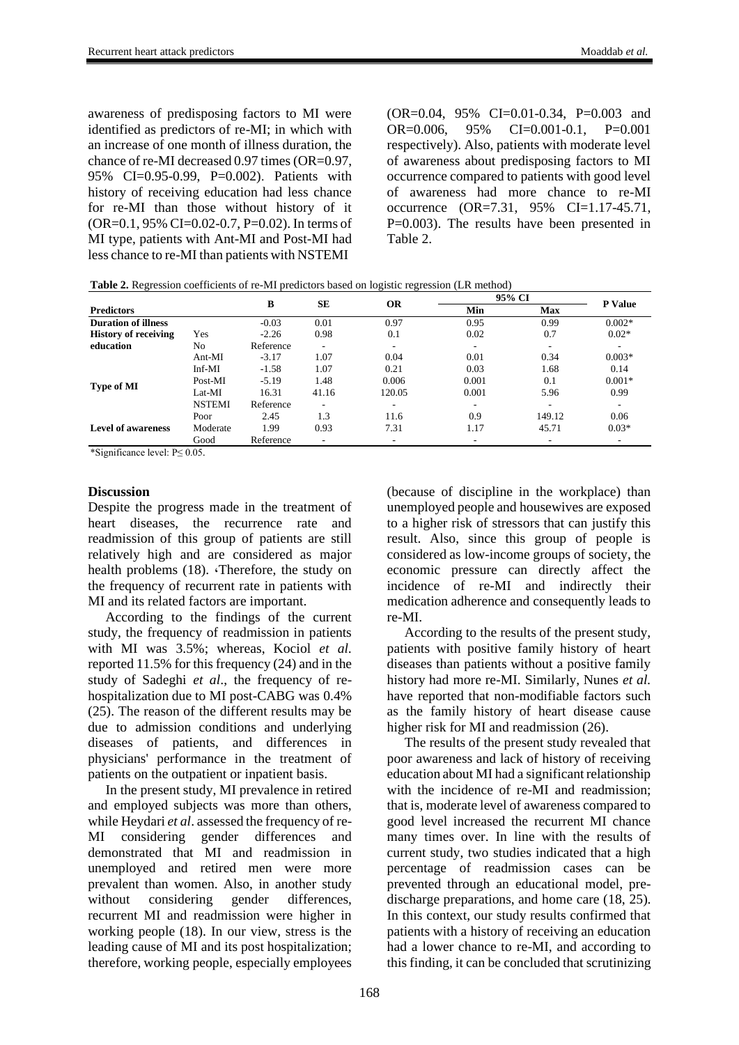awareness of predisposing factors to MI were identified as predictors of re-MI; in which with an increase of one month of illness duration, the chance of re-MI decreased 0.97 times (OR=0.97, 95% CI=0.95-0.99, P=0.002). Patients with history of receiving education had less chance for re-MI than those without history of it (OR=0.1, 95% CI=0.02-0.7, P=0.02). In terms of MI type, patients with Ant-MI and Post-MI had less chance to re-MI than patients with NSTEMI

(OR=0.04, 95% CI=0.01-0.34, P=0.003 and OR=0.006, 95% CI=0.001-0.1, P=0.001 respectively). Also, patients with moderate level of awareness about predisposing factors to MI occurrence compared to patients with good level of awareness had more chance to re-MI occurrence (OR=7.31, 95% CI=1.17-45.71, P=0.003). The results have been presented in Table 2.

|  | <b>Table 2.</b> Regression coefficients of re-MI predictors based on logistic regression (LR method) |
|--|------------------------------------------------------------------------------------------------------|
|--|------------------------------------------------------------------------------------------------------|

|                             |               | в         | SЕ    | <b>OR</b> | 95% CI                   |                          |                |
|-----------------------------|---------------|-----------|-------|-----------|--------------------------|--------------------------|----------------|
| <b>Predictors</b>           |               |           |       |           | Min                      | <b>Max</b>               | <b>P</b> Value |
| <b>Duration of illness</b>  |               | $-0.03$   | 0.01  | 0.97      | 0.95                     | 0.99                     | $0.002*$       |
| <b>History of receiving</b> | Yes           | $-2.26$   | 0.98  | 0.1       | 0.02                     | 0.7                      | $0.02*$        |
| education                   | No            | Reference | ٠     | ٠         |                          | $\sim$                   | ٠.             |
| Type of MI                  | Ant-MI        | $-3.17$   | 1.07  | 0.04      | 0.01                     | 0.34                     | $0.003*$       |
|                             | $Inf-MI$      | $-1.58$   | 1.07  | 0.21      | 0.03                     | 1.68                     | 0.14           |
|                             | Post-MI       | $-5.19$   | 1.48  | 0.006     | 0.001                    | 0.1                      | $0.001*$       |
|                             | Lat-MI        | 16.31     | 41.16 | 120.05    | 0.001                    | 5.96                     | 0.99           |
|                             | <b>NSTEMI</b> | Reference | ۰     | ۰         | $\overline{\phantom{a}}$ | $\overline{\phantom{a}}$ | $\sim$         |
| <b>Level of awareness</b>   | Poor          | 2.45      | 1.3   | 11.6      | 0.9                      | 149.12                   | 0.06           |
|                             | Moderate      | 1.99      | 0.93  | 7.31      | 1.17                     | 45.71                    | $0.03*$        |
|                             | Good          | Reference | ٠     | ۰         |                          |                          |                |

\*Significance level: P≤ 0.05.

## **Discussion**

Despite the progress made in the treatment of heart diseases, the recurrence rate and readmission of this group of patients are still relatively high and are considered as major health problems (18). Therefore, the study on the frequency of recurrent rate in patients with MI and its related factors are important.

According to the findings of the current study, the frequency of readmission in patients with MI was 3.5%; whereas, Kociol *et al.* reported 11.5% for this frequency (24) and in the study of Sadeghi *et al*., the frequency of rehospitalization due to MI post-CABG was 0.4% (25). The reason of the different results may be due to admission conditions and underlying diseases of patients, and differences in physicians' performance in the treatment of patients on the outpatient or inpatient basis.

In the present study, MI prevalence in retired and employed subjects was more than others, while Heydari *et al*. assessed the frequency of re-MI considering gender differences and demonstrated that MI and readmission in unemployed and retired men were more prevalent than women. Also, in another study without considering gender differences, recurrent MI and readmission were higher in working people (18). In our view, stress is the leading cause of MI and its post hospitalization; therefore, working people, especially employees (because of discipline in the workplace) than unemployed people and housewives are exposed to a higher risk of stressors that can justify this result. Also, since this group of people is considered as low-income groups of society, the economic pressure can directly affect the incidence of re-MI and indirectly their medication adherence and consequently leads to re-MI.

According to the results of the present study, patients with positive family history of heart diseases than patients without a positive family history had more re-MI. Similarly, Nunes *et al.* have reported that non-modifiable factors such as the family history of heart disease cause higher risk for MI and readmission (26).

The results of the present study revealed that poor awareness and lack of history of receiving education about MI had a significant relationship with the incidence of re-MI and readmission; that is, moderate level of awareness compared to good level increased the recurrent MI chance many times over. In line with the results of current study, two studies indicated that a high percentage of readmission cases can be prevented through an educational model, predischarge preparations, and home care (18, 25). In this context, our study results confirmed that patients with a history of receiving an education had a lower chance to re-MI, and according to this finding, it can be concluded that scrutinizing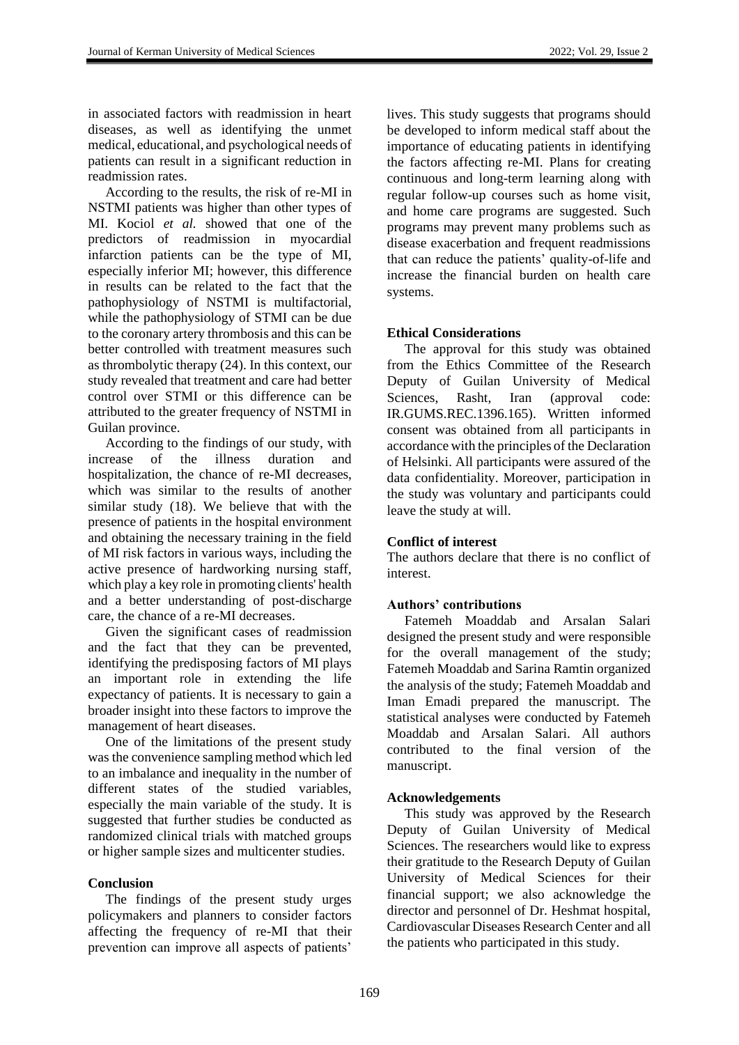in associated factors with readmission in heart diseases, as well as identifying the unmet medical, educational, and psychological needs of patients can result in a significant reduction in readmission rates.

According to the results, the risk of re-MI in NSTMI patients was higher than other types of MI. Kociol *et al.* showed that one of the predictors of readmission in myocardial infarction patients can be the type of MI, especially inferior MI; however, this difference in results can be related to the fact that the pathophysiology of NSTMI is multifactorial, while the pathophysiology of STMI can be due to the coronary artery thrombosis and this can be better controlled with treatment measures such as thrombolytic therapy (24). In this context, our study revealed that treatment and care had better control over STMI or this difference can be attributed to the greater frequency of NSTMI in Guilan province.

According to the findings of our study, with increase of the illness duration and hospitalization, the chance of re-MI decreases, which was similar to the results of another similar study (18). We believe that with the presence of patients in the hospital environment and obtaining the necessary training in the field of MI risk factors in various ways, including the active presence of hardworking nursing staff, which play a key role in promoting clients' health and a better understanding of post-discharge care, the chance of a re-MI decreases.

Given the significant cases of readmission and the fact that they can be prevented, identifying the predisposing factors of MI plays an important role in extending the life expectancy of patients. It is necessary to gain a broader insight into these factors to improve the management of heart diseases.

One of the limitations of the present study was the convenience sampling method which led to an imbalance and inequality in the number of different states of the studied variables, especially the main variable of the study. It is suggested that further studies be conducted as randomized clinical trials with matched groups or higher sample sizes and multicenter studies.

#### **Conclusion**

The findings of the present study urges policymakers and planners to consider factors affecting the frequency of re-MI that their prevention can improve all aspects of patients'

lives. This study suggests that programs should be developed to inform medical staff about the importance of educating patients in identifying the factors affecting re-MI. Plans for creating continuous and long-term learning along with regular follow-up courses such as home visit, and home care programs are suggested. Such programs may prevent many problems such as disease exacerbation and frequent readmissions that can reduce the patients' quality-of-life and increase the financial burden on health care systems.

## **Ethical Considerations**

The approval for this study was obtained from the Ethics Committee of the Research Deputy of Guilan University of Medical Sciences, Rasht, Iran (approval code: IR.GUMS.REC.1396.165). Written informed consent was obtained from all participants in accordance with the principles of the Declaration of Helsinki. All participants were assured of the data confidentiality. Moreover, participation in the study was voluntary and participants could leave the study at will.

## **Conflict of interest**

The authors declare that there is no conflict of interest.

#### **Authors' contributions**

Fatemeh Moaddab and Arsalan Salari designed the present study and were responsible for the overall management of the study; Fatemeh Moaddab and Sarina Ramtin organized the analysis of the study; Fatemeh Moaddab and Iman Emadi prepared the manuscript. The statistical analyses were conducted by Fatemeh Moaddab and Arsalan Salari. All authors contributed to the final version of the manuscript.

#### **Acknowledgements**

This study was approved by the Research Deputy of Guilan University of Medical Sciences. The researchers would like to express their gratitude to the Research Deputy of Guilan University of Medical Sciences for their financial support; we also acknowledge the director and personnel of Dr. Heshmat hospital, Cardiovascular Diseases Research Center and all the patients who participated in this study.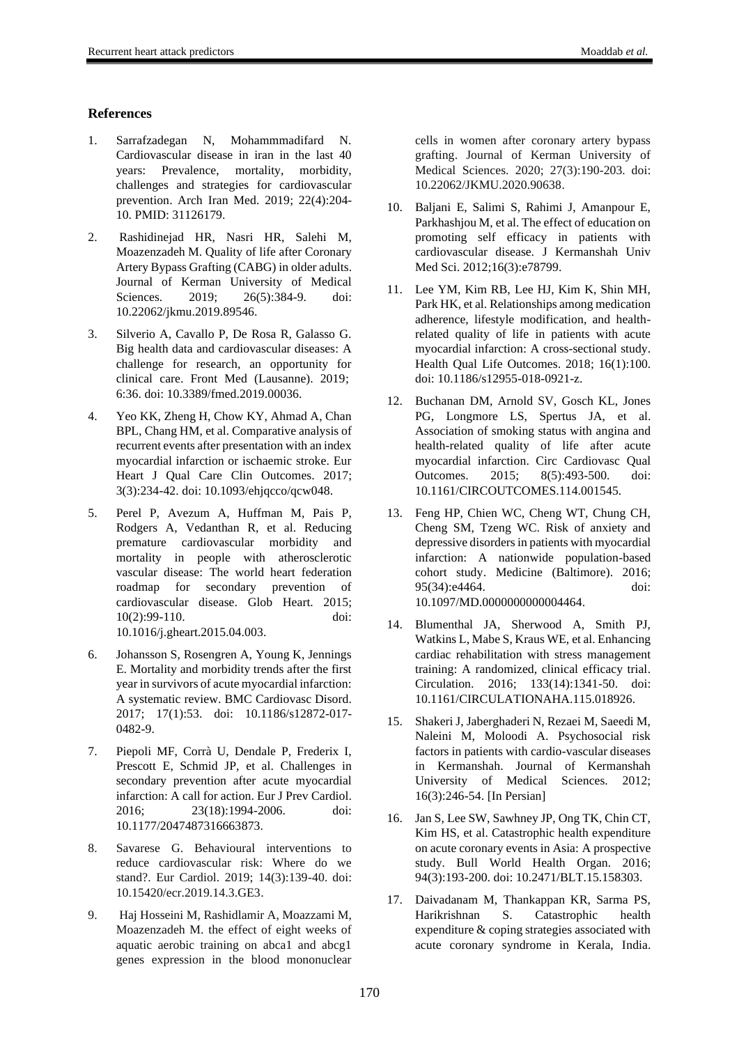## **References**

- 1. Sarrafzadegan N, Mohammmadifard N. Cardiovascular disease in iran in the last 40 years: Prevalence, mortality, morbidity, challenges and strategies for cardiovascular prevention. Arch Iran Med. 2019; 22(4):204- 10. PMID: 31126179.
- 2. Rashidinejad HR, Nasri HR, Salehi M, Moazenzadeh M. Quality of life after Coronary Artery Bypass Grafting (CABG) in older adults. Journal of Kerman University of Medical Sciences. 2019: 26(5):384-9. doi: 10.22062/jkmu.2019.89546.
- 3. Silverio A, Cavallo P, De Rosa R, Galasso G. Big health data and cardiovascular diseases: A challenge for research, an opportunity for clinical care. Front Med (Lausanne). 2019; 6:36. doi: 10.3389/fmed.2019.00036.
- 4. Yeo KK, Zheng H, Chow KY, Ahmad A, Chan BPL, Chang HM, et al. Comparative analysis of recurrent events after presentation with an index myocardial infarction or ischaemic stroke. Eur Heart J Qual Care Clin Outcomes. 2017; 3(3):234-42. doi: 10.1093/ehjqcco/qcw048.
- 5. Perel P, Avezum A, Huffman M, Pais P, Rodgers A, Vedanthan R, et al. Reducing premature cardiovascular morbidity and mortality in people with atherosclerotic vascular disease: The world heart federation roadmap for secondary prevention of cardiovascular disease. Glob Heart. 2015; 10(2):99-110. doi: 10.1016/j.gheart.2015.04.003.
- 6. Johansson S, Rosengren A, Young K, Jennings E. Mortality and morbidity trends after the first year in survivors of acute myocardial infarction: A systematic review. BMC Cardiovasc Disord. 2017; 17(1):53. doi: 10.1186/s12872-017- 0482-9.
- 7. Piepoli MF, Corrà U, Dendale P, Frederix I, Prescott E, Schmid JP, et al. Challenges in secondary prevention after acute myocardial infarction: A call for action. Eur J Prev Cardiol. 2016; 23(18):1994-2006. doi: 10.1177/2047487316663873.
- 8. Savarese G. Behavioural interventions to reduce cardiovascular risk: Where do we stand?. Eur Cardiol. 2019; 14(3):139-40. doi: [10.15420/ecr.2019.14.3.GE3.](https://doi.org/10.15420/ecr.2019.14.3.GE3)
- 9. Haj Hosseini M, Rashidlamir A, Moazzami M, Moazenzadeh M. the effect of eight weeks of aquatic aerobic training on abca1 and abcg1 genes expression in the blood mononuclear

cells in women after coronary artery bypass grafting. Journal of Kerman University of Medical Sciences. 2020; 27(3):190-203. doi: [10.22062/JKMU.2020.90638.](https://dx.doi.org/10.22062/jkmu.2020.90638)

- 10. Baljani E, Salimi S, Rahimi J, Amanpour E, Parkhashjou M, et al. The effect of education on promoting self efficacy in patients with cardiovascular disease. J Kermanshah Univ Med Sci. 2012;16(3):e78799.
- 11. Lee YM, Kim RB, Lee HJ, Kim K, Shin MH, Park HK, et al. Relationships among medication adherence, lifestyle modification, and healthrelated quality of life in patients with acute myocardial infarction: A cross-sectional study. Health Qual Life Outcomes. 2018; 16(1):100. doi: 10.1186/s12955-018-0921-z.
- 12. Buchanan DM, Arnold SV, Gosch KL, Jones PG, Longmore LS, Spertus JA, et al. Association of smoking status with angina and health-related quality of life after acute myocardial infarction. Circ Cardiovasc Qual Outcomes. 2015; 8(5):493-500. doi: 10.1161/CIRCOUTCOMES.114.001545.
- 13. Feng HP, Chien WC, Cheng WT, Chung CH, Cheng SM, Tzeng WC. Risk of anxiety and depressive disorders in patients with myocardial infarction: A nationwide population-based cohort study. Medicine (Baltimore). 2016; 95(34):e4464. doi: 10.1097/MD.0000000000004464.
- 14. Blumenthal JA, Sherwood A, Smith PJ, Watkins L, Mabe S, Kraus WE, et al. Enhancing cardiac rehabilitation with stress management training: A randomized, clinical efficacy trial. Circulation. 2016; 133(14):1341-50. doi: 10.1161/CIRCULATIONAHA.115.018926.
- 15. Shakeri J, Jaberghaderi N, Rezaei M, Saeedi M, Naleini M, Moloodi A. Psychosocial risk factors in patients with cardio-vascular diseases in Kermanshah. Journal of Kermanshah University of Medical Sciences. 2012; 16(3):246-54. [In Persian]
- 16. Jan S, Lee SW, Sawhney JP, Ong TK, Chin CT, Kim HS, et al. Catastrophic health expenditure on acute coronary events in Asia: A prospective study. Bull World Health Organ. 2016; 94(3):193-200. doi: 10.2471/BLT.15.158303.
- 17. Daivadanam M, Thankappan KR, Sarma PS, Harikrishnan S. Catastrophic health expenditure & coping strategies associated with acute coronary syndrome in Kerala, India.